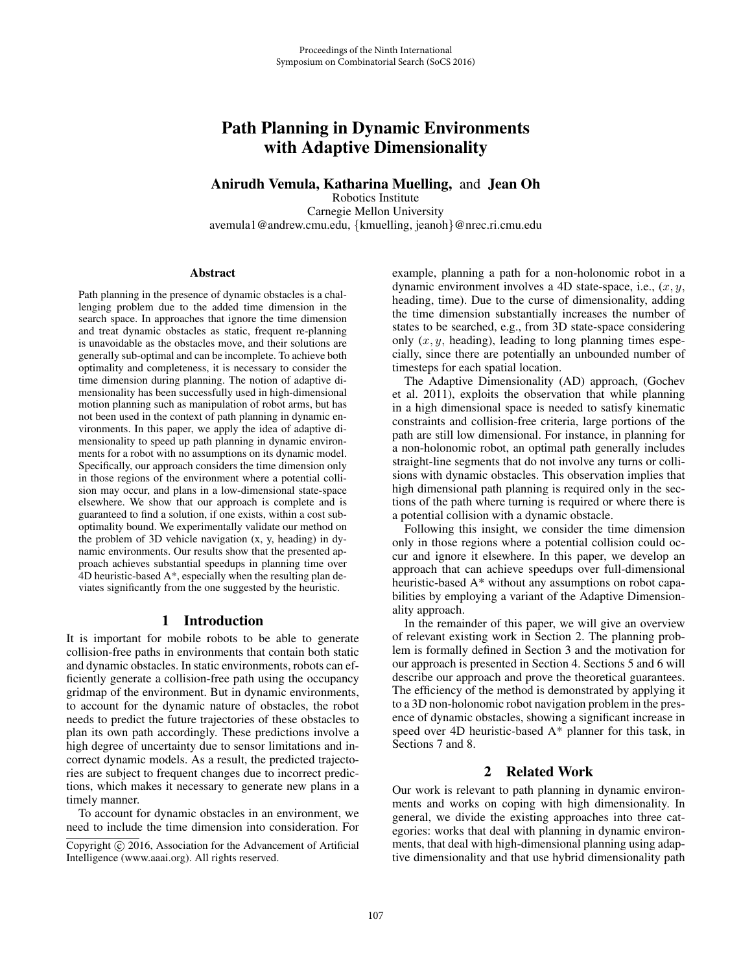# Path Planning in Dynamic Environments with Adaptive Dimensionality

# Anirudh Vemula, Katharina Muelling, and Jean Oh

Robotics Institute Carnegie Mellon University avemula1@andrew.cmu.edu, {kmuelling, jeanoh}@nrec.ri.cmu.edu

#### **Abstract**

Path planning in the presence of dynamic obstacles is a challenging problem due to the added time dimension in the search space. In approaches that ignore the time dimension and treat dynamic obstacles as static, frequent re-planning is unavoidable as the obstacles move, and their solutions are generally sub-optimal and can be incomplete. To achieve both optimality and completeness, it is necessary to consider the time dimension during planning. The notion of adaptive dimensionality has been successfully used in high-dimensional motion planning such as manipulation of robot arms, but has not been used in the context of path planning in dynamic environments. In this paper, we apply the idea of adaptive dimensionality to speed up path planning in dynamic environments for a robot with no assumptions on its dynamic model. Specifically, our approach considers the time dimension only in those regions of the environment where a potential collision may occur, and plans in a low-dimensional state-space elsewhere. We show that our approach is complete and is guaranteed to find a solution, if one exists, within a cost suboptimality bound. We experimentally validate our method on the problem of 3D vehicle navigation (x, y, heading) in dynamic environments. Our results show that the presented approach achieves substantial speedups in planning time over 4D heuristic-based A\*, especially when the resulting plan deviates significantly from the one suggested by the heuristic.

#### 1 Introduction

It is important for mobile robots to be able to generate collision-free paths in environments that contain both static and dynamic obstacles. In static environments, robots can efficiently generate a collision-free path using the occupancy gridmap of the environment. But in dynamic environments, to account for the dynamic nature of obstacles, the robot needs to predict the future trajectories of these obstacles to plan its own path accordingly. These predictions involve a high degree of uncertainty due to sensor limitations and incorrect dynamic models. As a result, the predicted trajectories are subject to frequent changes due to incorrect predictions, which makes it necessary to generate new plans in a timely manner.

To account for dynamic obstacles in an environment, we need to include the time dimension into consideration. For example, planning a path for a non-holonomic robot in a dynamic environment involves a 4D state-space, i.e.,  $(x, y, z)$ heading, time). Due to the curse of dimensionality, adding the time dimension substantially increases the number of states to be searched, e.g., from 3D state-space considering only  $(x, y,$  heading), leading to long planning times especially, since there are potentially an unbounded number of timesteps for each spatial location.

The Adaptive Dimensionality (AD) approach, (Gochev et al. 2011), exploits the observation that while planning in a high dimensional space is needed to satisfy kinematic constraints and collision-free criteria, large portions of the path are still low dimensional. For instance, in planning for a non-holonomic robot, an optimal path generally includes straight-line segments that do not involve any turns or collisions with dynamic obstacles. This observation implies that high dimensional path planning is required only in the sections of the path where turning is required or where there is a potential collision with a dynamic obstacle.

Following this insight, we consider the time dimension only in those regions where a potential collision could occur and ignore it elsewhere. In this paper, we develop an approach that can achieve speedups over full-dimensional heuristic-based A\* without any assumptions on robot capabilities by employing a variant of the Adaptive Dimensionality approach.

In the remainder of this paper, we will give an overview of relevant existing work in Section 2. The planning problem is formally defined in Section 3 and the motivation for our approach is presented in Section 4. Sections 5 and 6 will describe our approach and prove the theoretical guarantees. The efficiency of the method is demonstrated by applying it to a 3D non-holonomic robot navigation problem in the presence of dynamic obstacles, showing a significant increase in speed over 4D heuristic-based A\* planner for this task, in Sections 7 and 8.

# 2 Related Work

Our work is relevant to path planning in dynamic environments and works on coping with high dimensionality. In general, we divide the existing approaches into three categories: works that deal with planning in dynamic environments, that deal with high-dimensional planning using adaptive dimensionality and that use hybrid dimensionality path

Copyright  $\odot$  2016, Association for the Advancement of Artificial Intelligence (www.aaai.org). All rights reserved.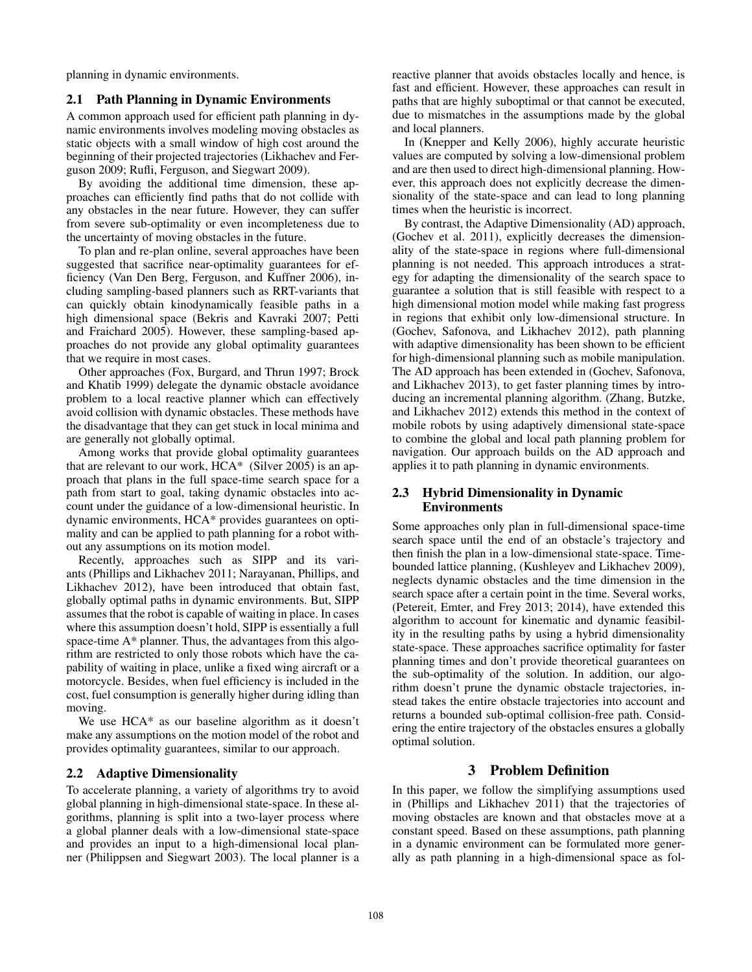planning in dynamic environments.

## 2.1 Path Planning in Dynamic Environments

A common approach used for efficient path planning in dynamic environments involves modeling moving obstacles as static objects with a small window of high cost around the beginning of their projected trajectories (Likhachev and Ferguson 2009; Rufli, Ferguson, and Siegwart 2009).

By avoiding the additional time dimension, these approaches can efficiently find paths that do not collide with any obstacles in the near future. However, they can suffer from severe sub-optimality or even incompleteness due to the uncertainty of moving obstacles in the future.

To plan and re-plan online, several approaches have been suggested that sacrifice near-optimality guarantees for efficiency (Van Den Berg, Ferguson, and Kuffner 2006), including sampling-based planners such as RRT-variants that can quickly obtain kinodynamically feasible paths in a high dimensional space (Bekris and Kavraki 2007; Petti and Fraichard 2005). However, these sampling-based approaches do not provide any global optimality guarantees that we require in most cases.

Other approaches (Fox, Burgard, and Thrun 1997; Brock and Khatib 1999) delegate the dynamic obstacle avoidance problem to a local reactive planner which can effectively avoid collision with dynamic obstacles. These methods have the disadvantage that they can get stuck in local minima and are generally not globally optimal.

Among works that provide global optimality guarantees that are relevant to our work, HCA\* (Silver 2005) is an approach that plans in the full space-time search space for a path from start to goal, taking dynamic obstacles into account under the guidance of a low-dimensional heuristic. In dynamic environments, HCA\* provides guarantees on optimality and can be applied to path planning for a robot without any assumptions on its motion model.

Recently, approaches such as SIPP and its variants (Phillips and Likhachev 2011; Narayanan, Phillips, and Likhachev 2012), have been introduced that obtain fast, globally optimal paths in dynamic environments. But, SIPP assumes that the robot is capable of waiting in place. In cases where this assumption doesn't hold, SIPP is essentially a full space-time A\* planner. Thus, the advantages from this algorithm are restricted to only those robots which have the capability of waiting in place, unlike a fixed wing aircraft or a motorcycle. Besides, when fuel efficiency is included in the cost, fuel consumption is generally higher during idling than moving.

We use HCA\* as our baseline algorithm as it doesn't make any assumptions on the motion model of the robot and provides optimality guarantees, similar to our approach.

#### 2.2 Adaptive Dimensionality

To accelerate planning, a variety of algorithms try to avoid global planning in high-dimensional state-space. In these algorithms, planning is split into a two-layer process where a global planner deals with a low-dimensional state-space and provides an input to a high-dimensional local planner (Philippsen and Siegwart 2003). The local planner is a

reactive planner that avoids obstacles locally and hence, is fast and efficient. However, these approaches can result in paths that are highly suboptimal or that cannot be executed, due to mismatches in the assumptions made by the global and local planners.

In (Knepper and Kelly 2006), highly accurate heuristic values are computed by solving a low-dimensional problem and are then used to direct high-dimensional planning. However, this approach does not explicitly decrease the dimensionality of the state-space and can lead to long planning times when the heuristic is incorrect.

By contrast, the Adaptive Dimensionality (AD) approach, (Gochev et al. 2011), explicitly decreases the dimensionality of the state-space in regions where full-dimensional planning is not needed. This approach introduces a strategy for adapting the dimensionality of the search space to guarantee a solution that is still feasible with respect to a high dimensional motion model while making fast progress in regions that exhibit only low-dimensional structure. In (Gochev, Safonova, and Likhachev 2012), path planning with adaptive dimensionality has been shown to be efficient for high-dimensional planning such as mobile manipulation. The AD approach has been extended in (Gochev, Safonova, and Likhachev 2013), to get faster planning times by introducing an incremental planning algorithm. (Zhang, Butzke, and Likhachev 2012) extends this method in the context of mobile robots by using adaptively dimensional state-space to combine the global and local path planning problem for navigation. Our approach builds on the AD approach and applies it to path planning in dynamic environments.

# 2.3 Hybrid Dimensionality in Dynamic Environments

Some approaches only plan in full-dimensional space-time search space until the end of an obstacle's trajectory and then finish the plan in a low-dimensional state-space. Timebounded lattice planning, (Kushleyev and Likhachev 2009), neglects dynamic obstacles and the time dimension in the search space after a certain point in the time. Several works, (Petereit, Emter, and Frey 2013; 2014), have extended this algorithm to account for kinematic and dynamic feasibility in the resulting paths by using a hybrid dimensionality state-space. These approaches sacrifice optimality for faster planning times and don't provide theoretical guarantees on the sub-optimality of the solution. In addition, our algorithm doesn't prune the dynamic obstacle trajectories, instead takes the entire obstacle trajectories into account and returns a bounded sub-optimal collision-free path. Considering the entire trajectory of the obstacles ensures a globally optimal solution.

## 3 Problem Definition

In this paper, we follow the simplifying assumptions used in (Phillips and Likhachev 2011) that the trajectories of moving obstacles are known and that obstacles move at a constant speed. Based on these assumptions, path planning in a dynamic environment can be formulated more generally as path planning in a high-dimensional space as fol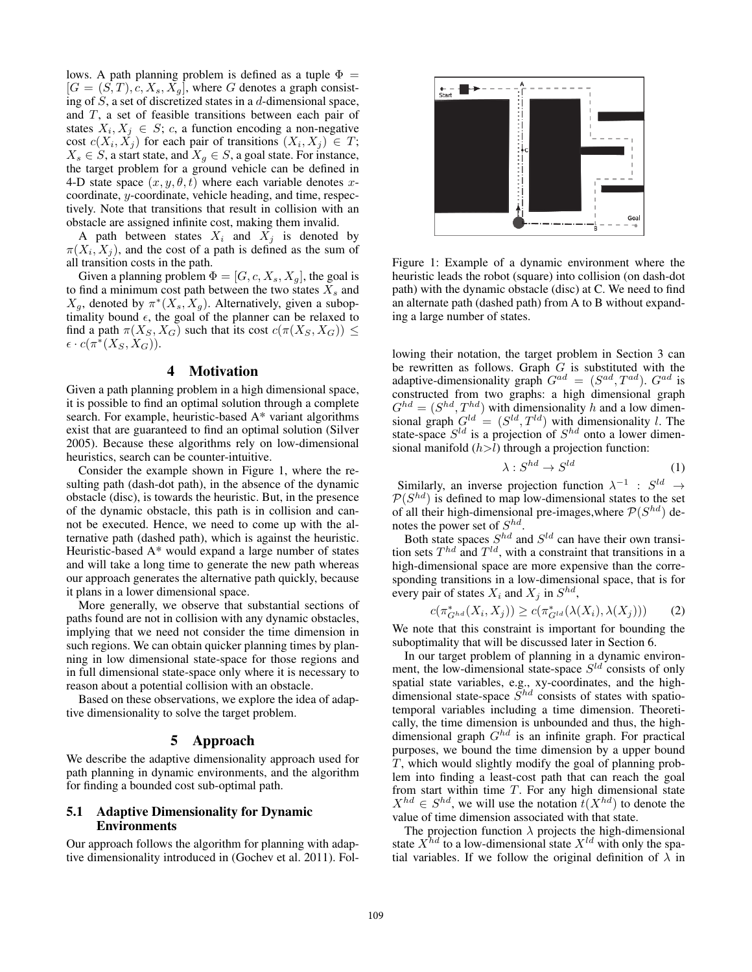lows. A path planning problem is defined as a tuple  $\Phi =$  $[G = (S, T), c, X_s, X_q]$ , where G denotes a graph consisting of  $S$ , a set of discretized states in a  $d$ -dimensional space, and T, a set of feasible transitions between each pair of states  $X_i, X_j \in S$ ; c, a function encoding a non-negative cost  $c(X_i, X_j)$  for each pair of transitions  $(X_i, X_j) \in T$ ;  $X_s \in S$ , a start state, and  $X_g \in S$ , a goal state. For instance, the target problem for a ground vehicle can be defined in 4-D state space  $(x, y, \theta, t)$  where each variable denotes xcoordinate, y-coordinate, vehicle heading, and time, respectively. Note that transitions that result in collision with an obstacle are assigned infinite cost, making them invalid.

A path between states  $X_i$  and  $X_j$  is denoted by  $\pi(X_i, X_j)$ , and the cost of a path is defined as the sum of all transition costs in the path.

Given a planning problem  $\Phi = [G, c, X_s, X_g]$ , the goal is to find a minimum cost path between the two states  $\overline{X}_s$  and  $X_q$ , denoted by  $\pi^*(X_s, X_q)$ . Alternatively, given a suboptimality bound  $\epsilon$ , the goal of the planner can be relaxed to find a path  $\pi(X_S, X_G)$  such that its cost  $c(\pi(X_S, X_G)) \leq$  $\epsilon \cdot c(\pi^*(X_S, X_G)).$ 

# 4 Motivation

Given a path planning problem in a high dimensional space, it is possible to find an optimal solution through a complete search. For example, heuristic-based A\* variant algorithms exist that are guaranteed to find an optimal solution (Silver 2005). Because these algorithms rely on low-dimensional heuristics, search can be counter-intuitive.

Consider the example shown in Figure 1, where the resulting path (dash-dot path), in the absence of the dynamic obstacle (disc), is towards the heuristic. But, in the presence of the dynamic obstacle, this path is in collision and cannot be executed. Hence, we need to come up with the alternative path (dashed path), which is against the heuristic. Heuristic-based A\* would expand a large number of states and will take a long time to generate the new path whereas our approach generates the alternative path quickly, because it plans in a lower dimensional space.

More generally, we observe that substantial sections of paths found are not in collision with any dynamic obstacles, implying that we need not consider the time dimension in such regions. We can obtain quicker planning times by planning in low dimensional state-space for those regions and in full dimensional state-space only where it is necessary to reason about a potential collision with an obstacle.

Based on these observations, we explore the idea of adaptive dimensionality to solve the target problem.

#### 5 Approach

We describe the adaptive dimensionality approach used for path planning in dynamic environments, and the algorithm for finding a bounded cost sub-optimal path.

#### 5.1 Adaptive Dimensionality for Dynamic Environments

Our approach follows the algorithm for planning with adaptive dimensionality introduced in (Gochev et al. 2011). Fol-



Figure 1: Example of a dynamic environment where the heuristic leads the robot (square) into collision (on dash-dot path) with the dynamic obstacle (disc) at C. We need to find an alternate path (dashed path) from A to B without expanding a large number of states.

lowing their notation, the target problem in Section 3 can be rewritten as follows. Graph  $\tilde{G}$  is substituted with the adaptive-dimensionality graph  $G^{ad} = (S^{ad}, T^{ad})$ .  $G^{ad}$  is constructed from two graphs: a high dimensional graph  $G^{hd} = (S^{hd}, T^{hd})$  with dimensionality h and a low dimensional graph  $G^{ld} = (S^{ld}, T^{ld})$  with dimensionality l. The state-space  $S^{ld}$  is a projection of  $S^{hd}$  onto a lower dimensional manifold  $(h>l)$  through a projection function:

$$
\lambda: S^{hd} \to S^{ld} \tag{1}
$$

Similarly, an inverse projection function  $\lambda^{-1}$  :  $S^{ld} \rightarrow$  $P(S^{hd})$  is defined to map low-dimensional states to the set of all their high-dimensional pre-images, where  $P(S^{hd})$  denotes the power set of  $S^{hd}$ .

Both state spaces  $S^{hd}$  and  $S^{ld}$  can have their own transition sets  $T^{hd}$  and  $T^{ld}$ , with a constraint that transitions in a high-dimensional space are more expensive than the corresponding transitions in a low-dimensional space, that is for every pair of states  $X_i$  and  $X_j$  in  $S^{hd}$ ,

$$
c(\pi_{G^{hd}}^*(X_i, X_j)) \ge c(\pi_{G^{ld}}^*(\lambda(X_i), \lambda(X_j))) \tag{2}
$$

We note that this constraint is important for bounding the suboptimality that will be discussed later in Section 6.

In our target problem of planning in a dynamic environment, the low-dimensional state-space  $S^{ld}$  consists of only spatial state variables, e.g., xy-coordinates, and the highdimensional state-space  $S^{hd}$  consists of states with spatiotemporal variables including a time dimension. Theoretically, the time dimension is unbounded and thus, the highdimensional graph  $G^{hd}$  is an infinite graph. For practical purposes, we bound the time dimension by a upper bound T, which would slightly modify the goal of planning problem into finding a least-cost path that can reach the goal from start within time  $T$ . For any high dimensional state  $X^{hd} \in S^{hd}$ , we will use the notation  $\tilde{t}(X^{hd})$  to denote the value of time dimension associated with that state.

The projection function  $\lambda$  projects the high-dimensional state  $X^{hd}$  to a low-dimensional state  $X^{ld}$  with only the spatial variables. If we follow the original definition of  $\lambda$  in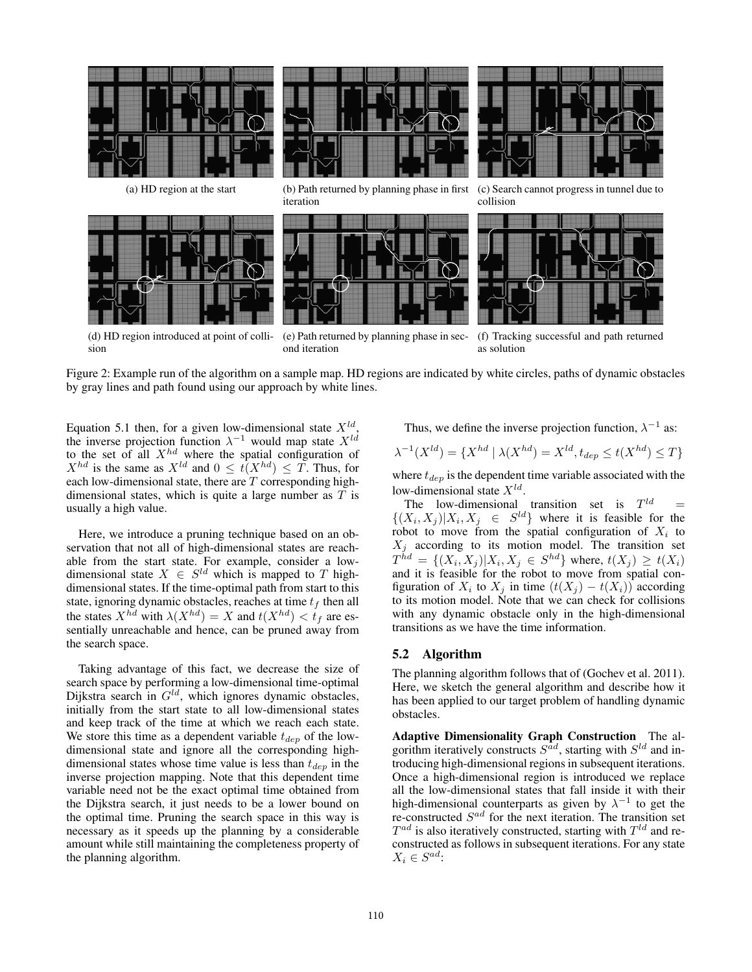

(d) HD region introduced at point of collision

(e) Path returned by planning phase in second iteration

(f) Tracking successful and path returned as solution

Figure 2: Example run of the algorithm on a sample map. HD regions are indicated by white circles, paths of dynamic obstacles by gray lines and path found using our approach by white lines.

Equation 5.1 then, for a given low-dimensional state  $X^{ld}$ , the inverse projection function  $\lambda^{-1}$  would map state  $X^{ld}$ to the set of all  $X^{hd}$  where the spatial configuration of  $X^{hd}$  is the same as  $X^{ld}$  and  $0 \leq t(X^{hd}) \leq T$ . Thus, for each low-dimensional state, there are  $\overline{T}$  corresponding highdimensional states, which is quite a large number as  $T$  is usually a high value.

Here, we introduce a pruning technique based on an observation that not all of high-dimensional states are reachable from the start state. For example, consider a lowdimensional state  $X \in S^{ld}$  which is mapped to T highdimensional states. If the time-optimal path from start to this state, ignoring dynamic obstacles, reaches at time  $t_f$  then all the states  $X^{hd}$  with  $\lambda(X^{hd}) = X$  and  $t(X^{hd}) < t_f$  are essentially unreachable and hence, can be pruned away from the search space.

Taking advantage of this fact, we decrease the size of search space by performing a low-dimensional time-optimal Dijkstra search in  $G^{ld}$ , which ignores dynamic obstacles, initially from the start state to all low-dimensional states and keep track of the time at which we reach each state. We store this time as a dependent variable  $t_{den}$  of the lowdimensional state and ignore all the corresponding highdimensional states whose time value is less than  $t_{dep}$  in the inverse projection mapping. Note that this dependent time variable need not be the exact optimal time obtained from the Dijkstra search, it just needs to be a lower bound on the optimal time. Pruning the search space in this way is necessary as it speeds up the planning by a considerable amount while still maintaining the completeness property of the planning algorithm.

Thus, we define the inverse projection function,  $\lambda^{-1}$  as:

$$
\lambda^{-1}(X^{ld}) = \{ X^{hd} \mid \lambda(X^{hd}) = X^{ld}, t_{dep} \le t(X^{hd}) \le T \}
$$

where  $t_{dep}$  is the dependent time variable associated with the low-dimensional state  $X^{ld}$ .

The low-dimensional transition set is  $T^{ld}$  =  $\{(X_i, X_j) | X_i, X_j \in S^{ld}\}\$  where it is feasible for the robot to move from the spatial configuration of  $X_i$  to  $X_j$  according to its motion model. The transition set  $T^{\tilde{h}d} = \{(X_i, X_j) | X_i, X_j \in S^{\tilde{h}d}\}$  where,  $t(X_j) \ge t(X_i)$  and it is feasible for the robot to move from spatial configuration of  $X_i$  to  $X_j$  in time  $(t(X_j) - t(X_i))$  according to its motion model. Note that we can check for collisions with any dynamic obstacle only in the high-dimensional transitions as we have the time information.

# 5.2 Algorithm

The planning algorithm follows that of (Gochev et al. 2011). Here, we sketch the general algorithm and describe how it has been applied to our target problem of handling dynamic obstacles.

Adaptive Dimensionality Graph Construction The algorithm iteratively constructs  $S^{ad}$ , starting with  $S^{ld}$  and introducing high-dimensional regions in subsequent iterations. Once a high-dimensional region is introduced we replace all the low-dimensional states that fall inside it with their high-dimensional counterparts as given by  $\lambda^{-1}$  to get the re-constructed  $S^{ad}$  for the next iteration. The transition set  $T^{ad}$  is also iteratively constructed, starting with  $T^{ld}$  and reconstructed as follows in subsequent iterations. For any state  $X_i \in S^{ad}$ :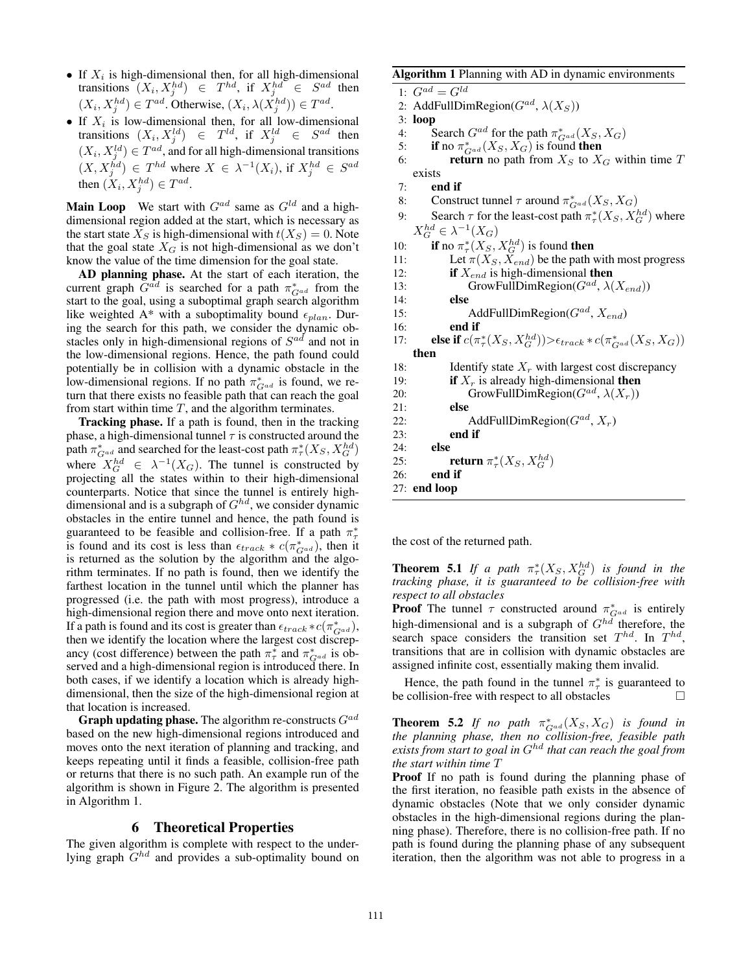- If  $X_i$  is high-dimensional then, for all high-dimensional transitions  $(X_i, X_j^{hd}) \in T^{hd}$ , if  $X_j^{hd} \in S^{ad}$  then  $(X_i, X_j^{hd}) \in T^{ad}$ . Otherwise,  $(X_i, \lambda(X_j^{hd})) \in T^{ad}$ .
- If  $X_i$  is low-dimensional then, for all low-dimensional transitions  $(X_i, X_j^{ld}) \in T^{ld}$ , if  $X_j^{ld} \in S^{ad}$  then  $(X_i, X_j^{ld}) \in T^{ad}$ , and for all high-dimensional transitions  $(X, X_j^{\tilde{h}d}) \in T^{hd}$  where  $X \in \lambda^{-1}(X_i)$ , if  $X_j^{hd} \in S^{ad}$ then  $(X_i, X_j^{hd}) \in T^{ad}$ .

**Main Loop** We start with  $G^{ad}$  same as  $G^{ld}$  and a highdimensional region added at the start, which is necessary as the start state  $X_S$  is high-dimensional with  $t(X_S)=0$ . Note that the goal state  $X_G$  is not high-dimensional as we don't know the value of the time dimension for the goal state.

AD planning phase. At the start of each iteration, the current graph  $G^{ad}$  is searched for a path  $\pi_{G^{ad}}^*$  from the start to the goal, using a suboptimal graph search algorithm like weighted A\* with a suboptimality bound  $\epsilon_{plan}$ . During the search for this path, we consider the dynamic obstacles only in high-dimensional regions of  $S^{ad}$  and not in the low-dimensional regions. Hence, the path found could potentially be in collision with a dynamic obstacle in the low-dimensional regions. If no path  $\pi_{G^{ad}}^*$  is found, we return that there exists no feasible path that can reach the goal from start within time  $T$ , and the algorithm terminates.

Tracking phase. If a path is found, then in the tracking phase, a high-dimensional tunnel  $\tau$  is constructed around the path  $\pi_{G^{ad}}^*$  and searched for the least-cost path  $\pi_{\tau}^*(X_S, X_G^{hd})$ where  $X_G^{hd} \in \lambda^{-1}(X_G)$ . The tunnel is constructed by projecting all the states within to their high-dimensional counterparts. Notice that since the tunnel is entirely highdimensional and is a subgraph of  $G^{hd}$ , we consider dynamic obstacles in the entire tunnel and hence, the path found is guaranteed to be feasible and collision-free. If a path  $\pi^*$ is found and its cost is less than  $\epsilon_{track} * c(\pi_{Gal}^*)$ , then it is returned as the solution by the algorithm and the algorithm terminates. If no path is found, then we identify the farthest location in the tunnel until which the planner has progressed (i.e. the path with most progress), introduce a high-dimensional region there and move onto next iteration. If a path is found and its cost is greater than  $\epsilon_{track} * c(\pi_{G^{ad}}^*)$ , then we identify the location where the largest cost discrepancy (cost difference) between the path  $\pi^*$  and  $\pi^*_{G^{ad}}$  is observed and a high-dimensional region is introduced there. In both cases, if we identify a location which is already highdimensional, then the size of the high-dimensional region at that location is increased.

**Graph updating phase.** The algorithm re-constructs  $G^{ad}$ based on the new high-dimensional regions introduced and moves onto the next iteration of planning and tracking, and keeps repeating until it finds a feasible, collision-free path or returns that there is no such path. An example run of the algorithm is shown in Figure 2. The algorithm is presented in Algorithm 1.

#### 6 Theoretical Properties

The given algorithm is complete with respect to the underlying graph  $G^{hd}$  and provides a sub-optimality bound on

```
Algorithm 1 Planning with AD in dynamic environments
 1: G^{ad} = G^{ld}2: AddFullDimRegion(G^{ad}, \lambda(X_S))
 3: loop
 4: Search G^{ad} for the path \pi_{G^{ad}}^*(X_S, X_G)5: if no \pi_{G^{ad}}^*(X_S, X_G) is found then
 6: return no path from X_S to X_G within time T
    exists
 7: end if
 8: Construct tunnel \tau around \pi_{G^{ad}}^*(X_S, X_G)9: Search \tau for the least-cost path \pi^*_\tau(X_S, X_G^{hd}) where
    X_G^{hd} \in \lambda^{-1}(X_G)10: if no \pi^*_{\tau}(X_S, X_G^{hd}) is found then
11: Let \pi(X_S, X_{end}) be the path with most progress
12: if X_{end} is high-dimensional then
13: GrowFullDimRegion(G^{ad}, \lambda(X_{end}))
14: else
15: AddFullDimRegion(G^{ad}, X_{end})
16: end if
17: else if c(\pi^*_\tau(X_S, X_G^{hd})) > \epsilon_{track} * c(\pi^*_{G^{ad}}(X_S, X_G))then
18: Identify state X_r with largest cost discrepancy
19: if X_r is already high-dimensional then
20: GrowFullDimRegion(G^{ad}, \lambda(X_r))
21: else
22: AddFullDimRegion(G^{ad}, X_r)<br>23: end if
           end if
24: else
```
25: **return**  $\pi^*_{\tau}(X_S, X_G^{hd})$ 

the cost of the returned path.

*respect to all obstacles*

26: end if 27: end loop

**Proof** The tunnel  $\tau$  constructed around  $\pi_{G^{ad}}^*$  is entirely high-dimensional and is a subgraph of  $G^{hd}$  therefore, the search space considers the transition set  $T^{hd}$ . In  $T^{hd}$ , transitions that are in collision with dynamic obstacles are assigned infinite cost, essentially making them invalid.

**Theorem 5.1** If a path  $\pi^*_\tau(X_S, X_G^{hd})$  is found in the *tracking phase, it is guaranteed to be collision-free with*

Hence, the path found in the tunnel  $\pi^*$  is guaranteed to be collision-free with respect to all obstacles  $\Box$ 

**Theorem 5.2** *If no path*  $\pi_{G^{ad}}^*(X_S, X_G)$  *is found in the planning phase, then no collision-free, feasible path exists from start to goal in* Ghd *that can reach the goal from the start within time* T

Proof If no path is found during the planning phase of the first iteration, no feasible path exists in the absence of dynamic obstacles (Note that we only consider dynamic obstacles in the high-dimensional regions during the planning phase). Therefore, there is no collision-free path. If no path is found during the planning phase of any subsequent iteration, then the algorithm was not able to progress in a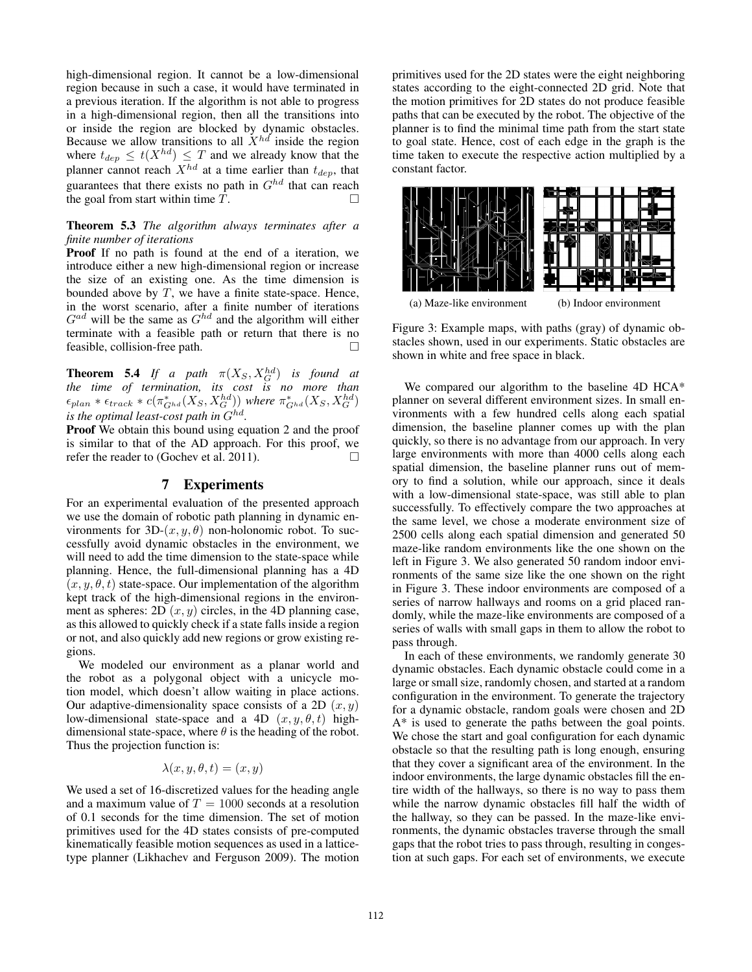high-dimensional region. It cannot be a low-dimensional region because in such a case, it would have terminated in a previous iteration. If the algorithm is not able to progress in a high-dimensional region, then all the transitions into or inside the region are blocked by dynamic obstacles. Because we allow transitions to all  $\dot{X}^{hd}$  inside the region where  $t_{dep} \leq t(X^{hd}) \leq T$  and we already know that the planner cannot reach  $X^{hd}$  at a time earlier than  $t_{dep}$ , that guarantees that there exists no path in  $G^{hd}$  that can reach the goal from start within time  $\overline{T}$ .

#### Theorem 5.3 *The algorithm always terminates after a finite number of iterations*

Proof If no path is found at the end of a iteration, we introduce either a new high-dimensional region or increase the size of an existing one. As the time dimension is bounded above by  $T$ , we have a finite state-space. Hence, in the worst scenario, after a finite number of iterations  $G^{ad}$  will be the same as  $G^{hd}$  and the algorithm will either terminate with a feasible path or return that there is no feasible, collision-free path.  $\Box$ 

**Theorem 5.4** If a path  $\pi(X_S, X_G^{hd})$  is found at *the time of termination, its cost is no more than*  $\epsilon_{plan} * \epsilon_{track} * c(\pi_{G^{hd}}^{*}(X_S, X_G^{hd}))$  where  $\pi_{G^{hd}}^{*}(X_S, X_G^{hd})$ *is the optimal least-cost path in*  $G^{hd}$ *.* 

Proof We obtain this bound using equation 2 and the proof is similar to that of the AD approach. For this proof, we refer the reader to (Gochev et al. 2011).

#### 7 Experiments

For an experimental evaluation of the presented approach we use the domain of robotic path planning in dynamic environments for  $3D-(x, y, \theta)$  non-holonomic robot. To successfully avoid dynamic obstacles in the environment, we will need to add the time dimension to the state-space while planning. Hence, the full-dimensional planning has a 4D  $(x, y, \theta, t)$  state-space. Our implementation of the algorithm kept track of the high-dimensional regions in the environment as spheres:  $2D(x, y)$  circles, in the 4D planning case, as this allowed to quickly check if a state falls inside a region or not, and also quickly add new regions or grow existing regions.

We modeled our environment as a planar world and the robot as a polygonal object with a unicycle motion model, which doesn't allow waiting in place actions. Our adaptive-dimensionality space consists of a 2D  $(x, y)$ low-dimensional state-space and a 4D  $(x, y, \theta, t)$  highdimensional state-space, where  $\theta$  is the heading of the robot. Thus the projection function is:

$$
\lambda(x, y, \theta, t) = (x, y)
$$

We used a set of 16-discretized values for the heading angle and a maximum value of  $T = 1000$  seconds at a resolution of 0.1 seconds for the time dimension. The set of motion primitives used for the 4D states consists of pre-computed kinematically feasible motion sequences as used in a latticetype planner (Likhachev and Ferguson 2009). The motion

primitives used for the 2D states were the eight neighboring states according to the eight-connected 2D grid. Note that the motion primitives for 2D states do not produce feasible paths that can be executed by the robot. The objective of the planner is to find the minimal time path from the start state to goal state. Hence, cost of each edge in the graph is the time taken to execute the respective action multiplied by a constant factor.



Figure 3: Example maps, with paths (gray) of dynamic obstacles shown, used in our experiments. Static obstacles are shown in white and free space in black.

We compared our algorithm to the baseline 4D HCA<sup>\*</sup> planner on several different environment sizes. In small environments with a few hundred cells along each spatial dimension, the baseline planner comes up with the plan quickly, so there is no advantage from our approach. In very large environments with more than 4000 cells along each spatial dimension, the baseline planner runs out of memory to find a solution, while our approach, since it deals with a low-dimensional state-space, was still able to plan successfully. To effectively compare the two approaches at the same level, we chose a moderate environment size of 2500 cells along each spatial dimension and generated 50 maze-like random environments like the one shown on the left in Figure 3. We also generated 50 random indoor environments of the same size like the one shown on the right in Figure 3. These indoor environments are composed of a series of narrow hallways and rooms on a grid placed randomly, while the maze-like environments are composed of a series of walls with small gaps in them to allow the robot to pass through.

In each of these environments, we randomly generate 30 dynamic obstacles. Each dynamic obstacle could come in a large or small size, randomly chosen, and started at a random configuration in the environment. To generate the trajectory for a dynamic obstacle, random goals were chosen and 2D A\* is used to generate the paths between the goal points. We chose the start and goal configuration for each dynamic obstacle so that the resulting path is long enough, ensuring that they cover a significant area of the environment. In the indoor environments, the large dynamic obstacles fill the entire width of the hallways, so there is no way to pass them while the narrow dynamic obstacles fill half the width of the hallway, so they can be passed. In the maze-like environments, the dynamic obstacles traverse through the small gaps that the robot tries to pass through, resulting in congestion at such gaps. For each set of environments, we execute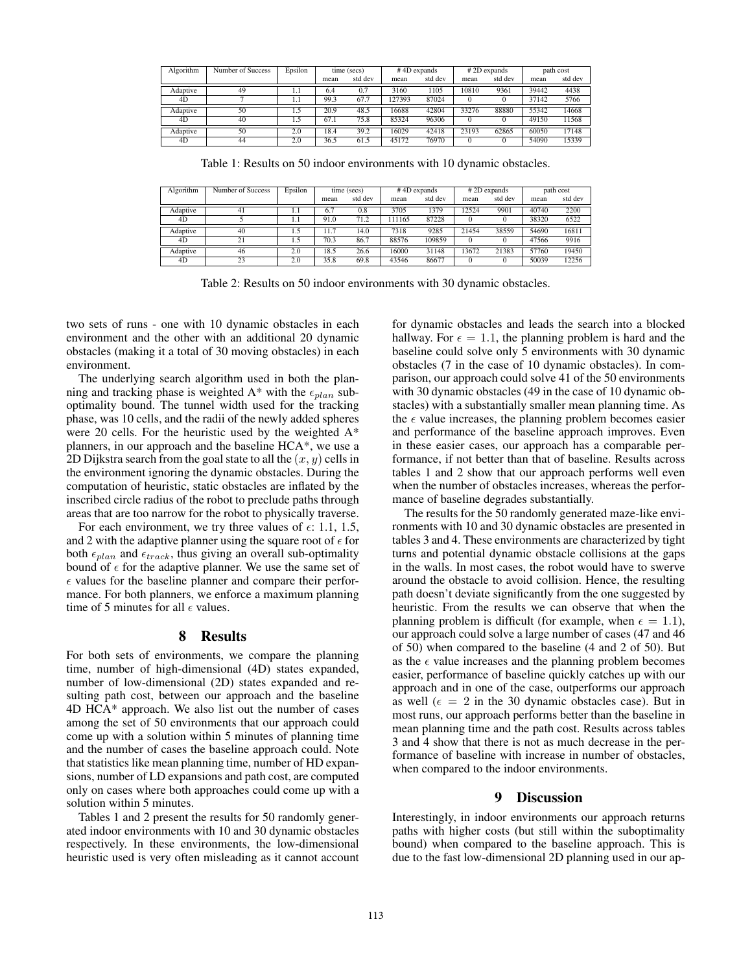| Algorithm | Number of Success | Epsilon | time (secs) |         | $# 4D$ expands |         | $# 2D$ expands |         | path cost |         |
|-----------|-------------------|---------|-------------|---------|----------------|---------|----------------|---------|-----------|---------|
|           |                   |         | mean        | std dev | mean           | std dev | mean           | std dev | mean      | std dev |
| Adaptive  | 49                | 1.1     | 6.4         | 0.7     | 3160           | 1105    | 10810          | 9361    | 39442     | 4438    |
| 4D        |                   |         | 99.3        | 67.7    | 127393         | 87024   |                |         | 37142     | 5766    |
| Adaptive  | 50                | 1.5     | 20.9        | 48.5    | 16688          | 42804   | 33276          | 88880   | 55342     | 14668   |
| 4D        | 40                | 1.5     | 67.1        | 75.8    | 85324          | 96306   |                |         | 49150     | 11568   |
| Adaptive  | 50                | 2.0     | 18.4        | 39.2    | 16029          | 42418   | 23193          | 62865   | 60050     | 17148   |
| 4D        | 44                | 2.0     | 36.5        | 61.5    | 45172          | 76970   |                |         | 54090     | 15339   |

Table 1: Results on 50 indoor environments with 10 dynamic obstacles.

| Algorithm | Number of Success | Epsilon | time (secs) |          | $# 4D$ expands |         | #2D expands |         | path cost |         |
|-----------|-------------------|---------|-------------|----------|----------------|---------|-------------|---------|-----------|---------|
|           |                   |         | mean        | std dev  | mean           | std dev | mean        | std dev | mean      | std dev |
| Adaptive  | 41                |         | 6.7         | $_{0.8}$ | 3705           | 1379    | 12524       | 9901    | 40740     | 2200    |
| 4D        |                   |         | 91.0        | 71.2     | 11165          | 87228   |             |         | 38320     | 6522    |
| Adaptive  | 40                |         | 11.7        | 14.0     | 7318           | 9285    | 21454       | 38559   | 54690     | 16811   |
| 4D        | 21                |         | 70.3        | 86.7     | 88576          | 109859  |             |         | 47566     | 9916    |
| Adaptive  | 46                | 2.0     | 18.5        | 26.6     | 16000          | 31148   | 13672       | 21383   | 57760     | 19450   |
| 4D        | 23                | 2.0     | 35.8        | 69.8     | 43546          | 86677   |             |         | 50039     | 12256   |

Table 2: Results on 50 indoor environments with 30 dynamic obstacles.

two sets of runs - one with 10 dynamic obstacles in each environment and the other with an additional 20 dynamic obstacles (making it a total of 30 moving obstacles) in each environment.

The underlying search algorithm used in both the planning and tracking phase is weighted A\* with the  $\epsilon_{plan}$  suboptimality bound. The tunnel width used for the tracking phase, was 10 cells, and the radii of the newly added spheres were 20 cells. For the heuristic used by the weighted A\* planners, in our approach and the baseline HCA\*, we use a 2D Dijkstra search from the goal state to all the  $(x, y)$  cells in the environment ignoring the dynamic obstacles. During the computation of heuristic, static obstacles are inflated by the inscribed circle radius of the robot to preclude paths through areas that are too narrow for the robot to physically traverse.

For each environment, we try three values of  $\epsilon$ : 1.1, 1.5, and 2 with the adaptive planner using the square root of  $\epsilon$  for both  $\epsilon_{plan}$  and  $\epsilon_{track}$ , thus giving an overall sub-optimality bound of  $\epsilon$  for the adaptive planner. We use the same set of  $\epsilon$  values for the baseline planner and compare their performance. For both planners, we enforce a maximum planning time of 5 minutes for all  $\epsilon$  values.

# 8 Results

For both sets of environments, we compare the planning time, number of high-dimensional (4D) states expanded, number of low-dimensional (2D) states expanded and resulting path cost, between our approach and the baseline 4D HCA\* approach. We also list out the number of cases among the set of 50 environments that our approach could come up with a solution within 5 minutes of planning time and the number of cases the baseline approach could. Note that statistics like mean planning time, number of HD expansions, number of LD expansions and path cost, are computed only on cases where both approaches could come up with a solution within 5 minutes.

Tables 1 and 2 present the results for 50 randomly generated indoor environments with 10 and 30 dynamic obstacles respectively. In these environments, the low-dimensional heuristic used is very often misleading as it cannot account

for dynamic obstacles and leads the search into a blocked hallway. For  $\epsilon = 1.1$ , the planning problem is hard and the baseline could solve only 5 environments with 30 dynamic obstacles (7 in the case of 10 dynamic obstacles). In comparison, our approach could solve 41 of the 50 environments with 30 dynamic obstacles (49 in the case of 10 dynamic obstacles) with a substantially smaller mean planning time. As the  $\epsilon$  value increases, the planning problem becomes easier and performance of the baseline approach improves. Even in these easier cases, our approach has a comparable performance, if not better than that of baseline. Results across tables 1 and 2 show that our approach performs well even when the number of obstacles increases, whereas the performance of baseline degrades substantially.

The results for the 50 randomly generated maze-like environments with 10 and 30 dynamic obstacles are presented in tables 3 and 4. These environments are characterized by tight turns and potential dynamic obstacle collisions at the gaps in the walls. In most cases, the robot would have to swerve around the obstacle to avoid collision. Hence, the resulting path doesn't deviate significantly from the one suggested by heuristic. From the results we can observe that when the planning problem is difficult (for example, when  $\epsilon = 1.1$ ), our approach could solve a large number of cases (47 and 46 of 50) when compared to the baseline (4 and 2 of 50). But as the  $\epsilon$  value increases and the planning problem becomes easier, performance of baseline quickly catches up with our approach and in one of the case, outperforms our approach as well ( $\epsilon = 2$  in the 30 dynamic obstacles case). But in most runs, our approach performs better than the baseline in mean planning time and the path cost. Results across tables 3 and 4 show that there is not as much decrease in the performance of baseline with increase in number of obstacles, when compared to the indoor environments.

#### 9 Discussion

Interestingly, in indoor environments our approach returns paths with higher costs (but still within the suboptimality bound) when compared to the baseline approach. This is due to the fast low-dimensional 2D planning used in our ap-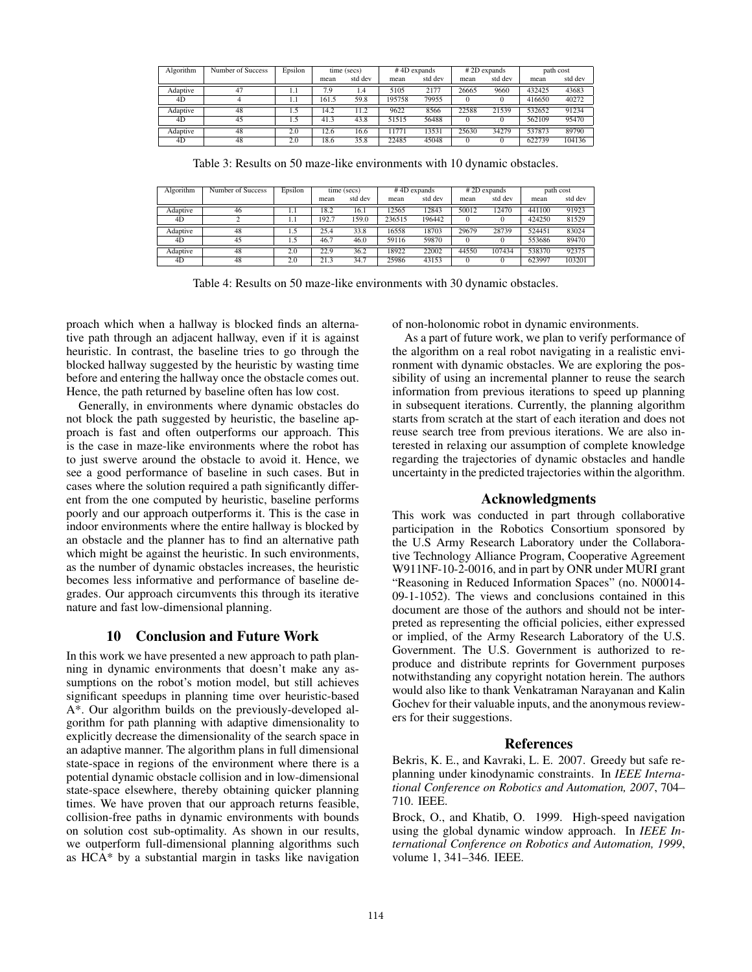| Algorithm | Number of Success | Epsilon | time (secs) |         | #4D expands |         | $# 2D$ expands |         | path cost |         |
|-----------|-------------------|---------|-------------|---------|-------------|---------|----------------|---------|-----------|---------|
|           |                   |         | mean        | std dev | mean        | std dev | mean           | std dev | mean      | std dev |
| Adaptive  | 47                | 1.1     | 7.9         | 1.4     | 5105        | 2177    | 26665          | 9660    | 432425    | 43683   |
| 4D        |                   |         | 161.5       | 59.8    | 195758      | 79955   |                |         | 416650    | 40272   |
| Adaptive  | 48                | 1.5     | 14.2        | 11.2    | 9622        | 8566    | 22588          | 21539   | 532652    | 91234   |
| 4D        | 45                | 1.5     | 41.3        | 43.8    | 51515       | 56488   |                |         | 562109    | 95470   |
| Adaptive  | 48                | 2.0     | 12.6        | 16.6    | 11771       | 13531   | 25630          | 34279   | 537873    | 89790   |
| 4D        | 48                | 2.0     | 18.6        | 35.8    | 22485       | 45048   |                |         | 622739    | 104136  |

Table 3: Results on 50 maze-like environments with 10 dynamic obstacles.

| Algorithm | Number of Success | Epsilon | time (secs) |         | $# 4D$ expands |         | #2D expands |         | path cost |         |
|-----------|-------------------|---------|-------------|---------|----------------|---------|-------------|---------|-----------|---------|
|           |                   |         | mean        | std dev | mean           | std dev | mean        | std dev | mean      | std dev |
| Adaptive  | 46                | 1.1     | 18.2        | 16.1    | 12565          | 12843   | 50012       | 12470   | 441100    | 91923   |
| 4D        |                   |         | 192.7       | 159.0   | 236515         | 196442  |             |         | 424250    | 81529   |
| Adaptive  | 48                | 1.5     | 25.4        | 33.8    | 16558          | 18703   | 29679       | 28739   | 524451    | 83024   |
| 4D        | 45                |         | 46.7        | 46.0    | 59116          | 59870   |             |         | 553686    | 89470   |
| Adaptive  | 48                | 2.0     | 22.9        | 36.2    | 18922          | 22002   | 44550       | 107434  | 538370    | 92375   |
| 4D        | 48                | 2.0     | 21.3        | 34.7    | 25986          | 43153   |             |         | 623997    | 103201  |

Table 4: Results on 50 maze-like environments with 30 dynamic obstacles.

proach which when a hallway is blocked finds an alternative path through an adjacent hallway, even if it is against heuristic. In contrast, the baseline tries to go through the blocked hallway suggested by the heuristic by wasting time before and entering the hallway once the obstacle comes out. Hence, the path returned by baseline often has low cost.

Generally, in environments where dynamic obstacles do not block the path suggested by heuristic, the baseline approach is fast and often outperforms our approach. This is the case in maze-like environments where the robot has to just swerve around the obstacle to avoid it. Hence, we see a good performance of baseline in such cases. But in cases where the solution required a path significantly different from the one computed by heuristic, baseline performs poorly and our approach outperforms it. This is the case in indoor environments where the entire hallway is blocked by an obstacle and the planner has to find an alternative path which might be against the heuristic. In such environments, as the number of dynamic obstacles increases, the heuristic becomes less informative and performance of baseline degrades. Our approach circumvents this through its iterative nature and fast low-dimensional planning.

#### 10 Conclusion and Future Work

In this work we have presented a new approach to path planning in dynamic environments that doesn't make any assumptions on the robot's motion model, but still achieves significant speedups in planning time over heuristic-based A\*. Our algorithm builds on the previously-developed algorithm for path planning with adaptive dimensionality to explicitly decrease the dimensionality of the search space in an adaptive manner. The algorithm plans in full dimensional state-space in regions of the environment where there is a potential dynamic obstacle collision and in low-dimensional state-space elsewhere, thereby obtaining quicker planning times. We have proven that our approach returns feasible, collision-free paths in dynamic environments with bounds on solution cost sub-optimality. As shown in our results, we outperform full-dimensional planning algorithms such as HCA\* by a substantial margin in tasks like navigation

of non-holonomic robot in dynamic environments.

As a part of future work, we plan to verify performance of the algorithm on a real robot navigating in a realistic environment with dynamic obstacles. We are exploring the possibility of using an incremental planner to reuse the search information from previous iterations to speed up planning in subsequent iterations. Currently, the planning algorithm starts from scratch at the start of each iteration and does not reuse search tree from previous iterations. We are also interested in relaxing our assumption of complete knowledge regarding the trajectories of dynamic obstacles and handle uncertainty in the predicted trajectories within the algorithm.

# Acknowledgments

This work was conducted in part through collaborative participation in the Robotics Consortium sponsored by the U.S Army Research Laboratory under the Collaborative Technology Alliance Program, Cooperative Agreement W911NF-10-2-0016, and in part by ONR under MURI grant "Reasoning in Reduced Information Spaces" (no. N00014- 09-1-1052). The views and conclusions contained in this document are those of the authors and should not be interpreted as representing the official policies, either expressed or implied, of the Army Research Laboratory of the U.S. Government. The U.S. Government is authorized to reproduce and distribute reprints for Government purposes notwithstanding any copyright notation herein. The authors would also like to thank Venkatraman Narayanan and Kalin Gochev for their valuable inputs, and the anonymous reviewers for their suggestions.

#### References

Bekris, K. E., and Kavraki, L. E. 2007. Greedy but safe replanning under kinodynamic constraints. In *IEEE International Conference on Robotics and Automation, 2007*, 704– 710. IEEE.

Brock, O., and Khatib, O. 1999. High-speed navigation using the global dynamic window approach. In *IEEE International Conference on Robotics and Automation, 1999*, volume 1, 341–346. IEEE.